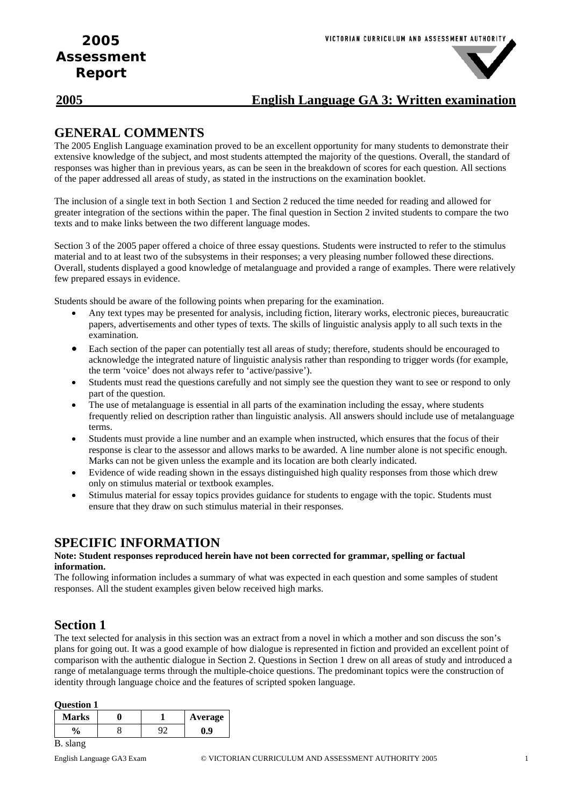### **2005 English Language GA 3: Written examination**

### **GENERAL COMMENTS**

The 2005 English Language examination proved to be an excellent opportunity for many students to demonstrate their extensive knowledge of the subject, and most students attempted the majority of the questions. Overall, the standard of responses was higher than in previous years, as can be seen in the breakdown of scores for each question. All sections of the paper addressed all areas of study, as stated in the instructions on the examination booklet.

The inclusion of a single text in both Section 1 and Section 2 reduced the time needed for reading and allowed for greater integration of the sections within the paper. The final question in Section 2 invited students to compare the two texts and to make links between the two different language modes.

Section 3 of the 2005 paper offered a choice of three essay questions. Students were instructed to refer to the stimulus material and to at least two of the subsystems in their responses; a very pleasing number followed these directions. Overall, students displayed a good knowledge of metalanguage and provided a range of examples. There were relatively few prepared essays in evidence.

Students should be aware of the following points when preparing for the examination.

- Any text types may be presented for analysis, including fiction, literary works, electronic pieces, bureaucratic papers, advertisements and other types of texts. The skills of linguistic analysis apply to all such texts in the examination.
- Each section of the paper can potentially test all areas of study; therefore, students should be encouraged to acknowledge the integrated nature of linguistic analysis rather than responding to trigger words (for example, the term 'voice' does not always refer to 'active/passive').
- Students must read the questions carefully and not simply see the question they want to see or respond to only part of the question.
- The use of metalanguage is essential in all parts of the examination including the essay, where students frequently relied on description rather than linguistic analysis. All answers should include use of metalanguage terms.
- Students must provide a line number and an example when instructed, which ensures that the focus of their response is clear to the assessor and allows marks to be awarded. A line number alone is not specific enough. Marks can not be given unless the example and its location are both clearly indicated.
- Evidence of wide reading shown in the essays distinguished high quality responses from those which drew only on stimulus material or textbook examples.
- Stimulus material for essay topics provides guidance for students to engage with the topic. Students must ensure that they draw on such stimulus material in their responses.

### **SPECIFIC INFORMATION**

#### **Note: Student responses reproduced herein have not been corrected for grammar, spelling or factual information.**

The following information includes a summary of what was expected in each question and some samples of student responses. All the student examples given below received high marks.

### **Section 1**

The text selected for analysis in this section was an extract from a novel in which a mother and son discuss the son's plans for going out. It was a good example of how dialogue is represented in fiction and provided an excellent point of comparison with the authentic dialogue in Section 2. Questions in Section 1 drew on all areas of study and introduced a range of metalanguage terms through the multiple-choice questions. The predominant topics were the construction of identity through language choice and the features of scripted spoken language.

#### **Question 1**

| <b>Marks</b> |  | Average |
|--------------|--|---------|
| 0            |  | و.ر     |

#### B. slang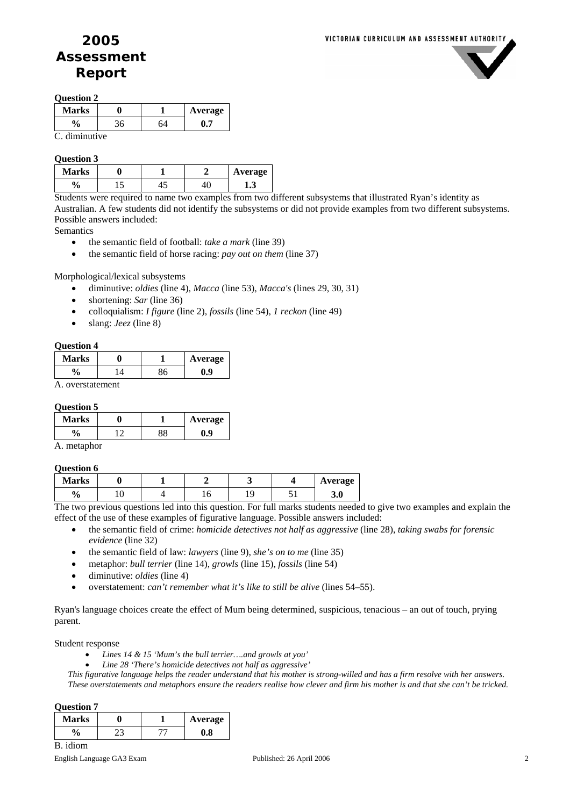

#### **Question 2**

| <b>Marks</b>  |    |    | Average |
|---------------|----|----|---------|
| $\frac{6}{9}$ | 36 | 64 |         |
| . diminutive  |    |    |         |

#### **Question 3**

| Marks         |     |  | Average |
|---------------|-----|--|---------|
| Λ<br>v,<br>′0 | . . |  | 1.J     |

Students were required to name two examples from two different subsystems that illustrated Ryan's identity as Australian. A few students did not identify the subsystems or did not provide examples from two different subsystems. Possible answers included:

**Semantics** 

- the semantic field of football: *take a mark* (line 39)
- the semantic field of horse racing: *pay out on them* (line 37)

Morphological/lexical subsystems

- diminutive: *oldies* (line 4), *Macca* (line 53), *Macca's* (lines 29, 30, 31)
- shortening: *Sar* (line 36)
- colloquialism: *I figure* (line 2), *fossils* (line 54), *1 reckon* (line 49)
- slang: *Jeez* (line 8)

#### **Question 4**

| <b>Marks</b> |  | Average |
|--------------|--|---------|
| 0,           |  | ).9     |

A. overstatement

#### **Question 5**

| <b>Marks</b> |  | Average |
|--------------|--|---------|
|              |  | IJ      |

A. metaphor

### **Question 6**

| <b>Marks</b> |                          |                             |                                     |                       |                               | Average               |
|--------------|--------------------------|-----------------------------|-------------------------------------|-----------------------|-------------------------------|-----------------------|
| O.<br>′0     | ◡                        |                             |                                     |                       |                               | 3.0                   |
|              | the property of the con- | the state of the control of | the contract of the contract of the | the state of the con- | the control of the control of | the state of the con- |

The two previous questions led into this question. For full marks students needed to give two examples and explain the effect of the use of these examples of figurative language. Possible answers included:

- the semantic field of crime: *homicide detectives not half as aggressive* (line 28), *taking swabs for forensic evidence* (line 32)
- the semantic field of law: *lawyers* (line 9), *she's on to me* (line 35)
- metaphor: *bull terrier* (line 14), *growls* (line 15), *fossils* (line 54)
- diminutive: *oldies* (line 4)
- overstatement: *can't remember what it's like to still be alive* (lines 54–55).

Ryan's language choices create the effect of Mum being determined, suspicious, tenacious – an out of touch, prying parent.

Student response

- *Lines 14 & 15 'Mum's the bull terrier….and growls at you'*
- *Line 28 'There's homicide detectives not half as aggressive'*

*This figurative language helps the reader understand that his mother is strong-willed and has a firm resolve with her answers. These overstatements and metaphors ensure the readers realise how clever and firm his mother is and that she can't be tricked.* 

#### **Question 7**

| <b>Marks</b> |  | Average            |
|--------------|--|--------------------|
| 0/           |  | $\boldsymbol{0.8}$ |

B. idiom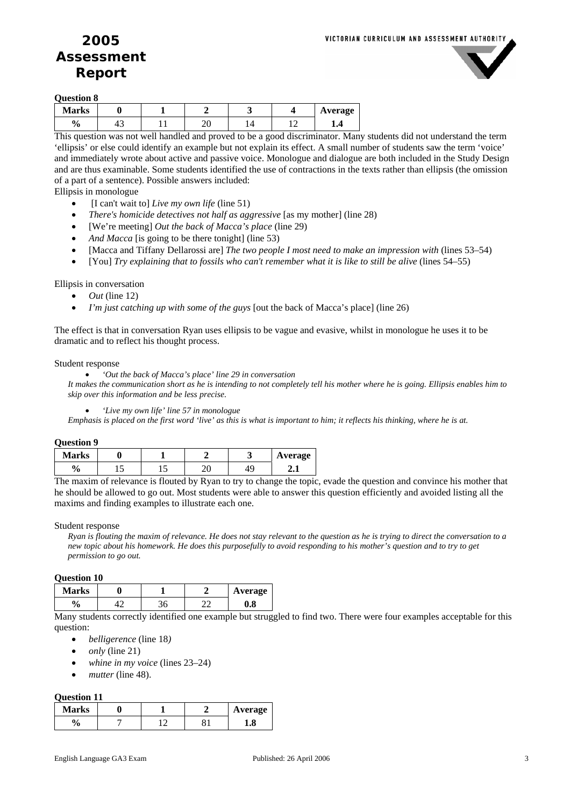

**Question 8** 

| <b>Marks</b>       |                                 |     |  | Average |
|--------------------|---------------------------------|-----|--|---------|
| $\mathbf{o}$<br>′€ | $\overline{\phantom{a}}$<br>т., | - - |  |         |

This question was not well handled and proved to be a good discriminator. Many students did not understand the term 'ellipsis' or else could identify an example but not explain its effect. A small number of students saw the term 'voice' and immediately wrote about active and passive voice. Monologue and dialogue are both included in the Study Design and are thus examinable. Some students identified the use of contractions in the texts rather than ellipsis (the omission of a part of a sentence). Possible answers included:

Ellipsis in monologue

- [I can't wait to] *Live my own life* (line 51)
- *There's homicide detectives not half as aggressive* [as my mother] (line 28)
- [We're meeting] *Out the back of Macca's place* (line 29)
- *And Macca* [is going to be there tonight] (line 53)
- [Macca and Tiffany Dellarossi are] *The two people I most need to make an impression with* (lines 53–54)
- [You] *Try explaining that to fossils who can't remember what it is like to still be alive* (lines 54–55)

Ellipsis in conversation

- $\bullet$  *Out* (line 12)
- *I'm just catching up with some of the guys* [out the back of Macca's place] (line 26)

The effect is that in conversation Ryan uses ellipsis to be vague and evasive, whilst in monologue he uses it to be dramatic and to reflect his thought process.

#### Student response

• *'Out the back of Macca's place' line 29 in conversation* 

*It makes the communication short as he is intending to not completely tell his mother where he is going. Ellipsis enables him to skip over this information and be less precise.* 

• *'Live my own life' line 57 in monologue* 

*Emphasis is placed on the first word 'live' as this is what is important to him; it reflects his thinking, where he is at.* 

| <b>Question 9</b> |  |
|-------------------|--|
|-------------------|--|

| <b>Marks</b> |    |     |  | Average |
|--------------|----|-----|--|---------|
| ∕0           | ⊥ັ | . . |  | . .     |

The maxim of relevance is flouted by Ryan to try to change the topic, evade the question and convince his mother that he should be allowed to go out. Most students were able to answer this question efficiently and avoided listing all the maxims and finding examples to illustrate each one.

#### Student response

*Ryan is flouting the maxim of relevance. He does not stay relevant to the question as he is trying to direct the conversation to a new topic about his homework. He does this purposefully to avoid responding to his mother's question and to try to get permission to go out.* 

#### **Question 10**

| Marks   |  |     | Average |
|---------|--|-----|---------|
| 0<br>′0 |  | . . | v.o     |

Many students correctly identified one example but struggled to find two. There were four examples acceptable for this question:

- *belligerence* (line 18*)*
- *only* (line 21)
- *whine in my voice* (lines 23–24)
- mutter (line 48).

#### **Question 11**

| <b>Marks</b> |  | Average |
|--------------|--|---------|
| 0.<br>u      |  | - 0     |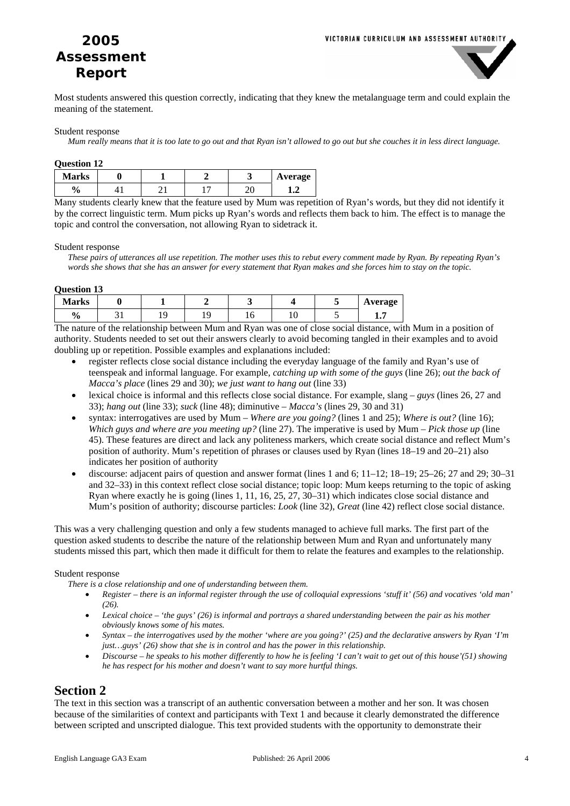

Most students answered this question correctly, indicating that they knew the metalanguage term and could explain the meaning of the statement.

#### Student response

*Mum really means that it is too late to go out and that Ryan isn't allowed to go out but she couches it in less direct language.* 

| <b>Question 12</b> |  |         |         |
|--------------------|--|---------|---------|
| <b>Marks</b>       |  |         | Average |
| $\frac{6}{9}$      |  | ״<br>46 | ⊥.∠     |

Many students clearly knew that the feature used by Mum was repetition of Ryan's words, but they did not identify it by the correct linguistic term. Mum picks up Ryan's words and reflects them back to him. The effect is to manage the topic and control the conversation, not allowing Ryan to sidetrack it.

#### Student response

*These pairs of utterances all use repetition. The mother uses this to rebut every comment made by Ryan. By repeating Ryan's words she shows that she has an answer for every statement that Ryan makes and she forces him to stay on the topic.* 

**Question 13** 

| <b>Marks</b>  |  |   |   |  | Average |
|---------------|--|---|---|--|---------|
| $\frac{0}{6}$ |  | c | ◡ |  | . .     |

The nature of the relationship between Mum and Ryan was one of close social distance, with Mum in a position of authority. Students needed to set out their answers clearly to avoid becoming tangled in their examples and to avoid doubling up or repetition. Possible examples and explanations included:

- register reflects close social distance including the everyday language of the family and Ryan's use of teenspeak and informal language. For example, *catching up with some of the guys* (line 26); *out the back of Macca's place* (lines 29 and 30); *we just want to hang out* (line 33)
- lexical choice is informal and this reflects close social distance. For example, slang – *guys* (lines 26, 27 and 33); *hang out* (line 33); *suck* (line 48); diminutive – *Macca's* (lines 29, 30 and 31)
- syntax: interrogatives are used by Mum *Where are you going?* (lines 1 and 25); *Where is out?* (line 16); *Which guys and where are you meeting up?* (line 27). The imperative is used by Mum – *Pick those up* (line 45). These features are direct and lack any politeness markers, which create social distance and reflect Mum's position of authority. Mum's repetition of phrases or clauses used by Ryan (lines 18–19 and 20–21) also indicates her position of authority
- discourse: adjacent pairs of question and answer format (lines 1 and 6;  $11-12$ ;  $18-19$ ;  $25-26$ ;  $27$  and  $29$ ;  $30-31$ and 32–33) in this context reflect close social distance; topic loop: Mum keeps returning to the topic of asking Ryan where exactly he is going (lines 1, 11, 16, 25, 27, 30–31) which indicates close social distance and Mum's position of authority; discourse particles: *Look* (line 32), *Great* (line 42) reflect close social distance.

This was a very challenging question and only a few students managed to achieve full marks. The first part of the question asked students to describe the nature of the relationship between Mum and Ryan and unfortunately many students missed this part, which then made it difficult for them to relate the features and examples to the relationship.

#### Student response

*There is a close relationship and one of understanding between them.* 

- *Register there is an informal register through the use of colloquial expressions 'stuff it' (56) and vocatives 'old man' (26).*
- *Lexical choice 'the guys' (26) is informal and portrays a shared understanding between the pair as his mother obviously knows some of his mates.*
- *Syntax the interrogatives used by the mother 'where are you going?' (25) and the declarative answers by Ryan 'I'm just…guys' (26) show that she is in control and has the power in this relationship.*
- *Discourse he speaks to his mother differently to how he is feeling 'I can't wait to get out of this house'(51) showing he has respect for his mother and doesn't want to say more hurtful things.*

### **Section 2**

The text in this section was a transcript of an authentic conversation between a mother and her son. It was chosen because of the similarities of context and participants with Text 1 and because it clearly demonstrated the difference between scripted and unscripted dialogue. This text provided students with the opportunity to demonstrate their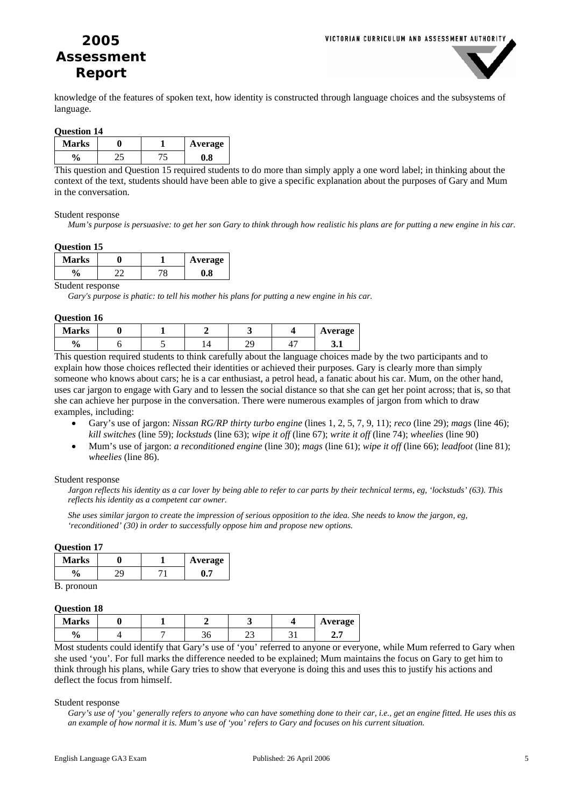

knowledge of the features of spoken text, how identity is constructed through language choices and the subsystems of language.

#### **Question 14**

| <b>Marks</b> |  | Average |
|--------------|--|---------|
| 0            |  | ۰O      |

This question and Question 15 required students to do more than simply apply a one word label; in thinking about the context of the text, students should have been able to give a specific explanation about the purposes of Gary and Mum in the conversation.

#### Student response

*Mum's purpose is persuasive: to get her son Gary to think through how realistic his plans are for putting a new engine in his car.* 

| <b>Ouestion 15</b> |    |     |         |  |  |  |
|--------------------|----|-----|---------|--|--|--|
| <b>Marks</b>       |    |     | Average |  |  |  |
| $\frac{6}{9}$      | ⌒⌒ | 7 O | 0.8     |  |  |  |

Student response

*Gary's purpose is phatic: to tell his mother his plans for putting a new engine in his car.* 

#### **Question 16**

| <b>Marks</b>  |  |    | Average |
|---------------|--|----|---------|
| $\frac{0}{0}$ |  | -- | ◡▴      |

This question required students to think carefully about the language choices made by the two participants and to explain how those choices reflected their identities or achieved their purposes. Gary is clearly more than simply someone who knows about cars; he is a car enthusiast, a petrol head, a fanatic about his car. Mum, on the other hand, uses car jargon to engage with Gary and to lessen the social distance so that she can get her point across; that is, so that she can achieve her purpose in the conversation. There were numerous examples of jargon from which to draw examples, including:

- Gary's use of jargon: *Nissan RG/RP thirty turbo engine* (lines 1, 2, 5, 7, 9, 11); *reco* (line 29); *mags* (line 46); *kill switches* (line 59); *lockstuds* (line 63); *wipe it off* (line 67); *write it off* (line 74); *wheelies* (line 90)
- Mum's use of jargon: *a reconditioned engine* (line 30); *mags* (line 61); *wipe it off* (line 66); *leadfoot* (line 81); *wheelies* (line 86).

#### Student response

*Jargon reflects his identity as a car lover by being able to refer to car parts by their technical terms, eg, 'lockstuds' (63). This reflects his identity as a competent car owner.* 

*She uses similar jargon to create the impression of serious opposition to the idea. She needs to know the jargon, eg, 'reconditioned' (30) in order to successfully oppose him and propose new options.* 

#### **Question 17**

| <b>Marks</b> |  | Average |
|--------------|--|---------|
|              |  |         |
| ∽            |  |         |

B. pronoun

#### **Question 18**

| معانتها<br><b>NIATKS</b> |  |     | Average |
|--------------------------|--|-----|---------|
| О.                       |  | ر ب |         |

Most students could identify that Gary's use of 'you' referred to anyone or everyone, while Mum referred to Gary when she used 'you'. For full marks the difference needed to be explained; Mum maintains the focus on Gary to get him to think through his plans, while Gary tries to show that everyone is doing this and uses this to justify his actions and deflect the focus from himself.

#### Student response

*Gary's use of 'you' generally refers to anyone who can have something done to their car, i.e., get an engine fitted. He uses this as an example of how normal it is. Mum's use of 'you' refers to Gary and focuses on his current situation.*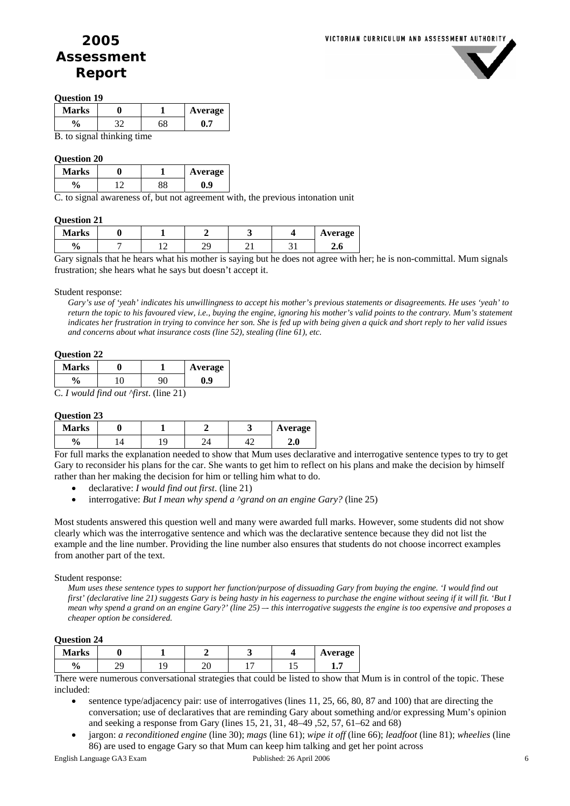

#### **Question 19**

| Marks          |  |  | Average |  |  |
|----------------|--|--|---------|--|--|
| $\frac{6}{10}$ |  |  |         |  |  |
| D<br>. .       |  |  |         |  |  |

B. to signal thinking time

#### **Question 20**

| <b>Marks</b> |  | Average |
|--------------|--|---------|
| 0.           |  |         |

C. to signal awareness of, but not agreement with, the previous intonation unit

#### **Question 21**

| <b>Marks</b>  |  |  |   | Average |
|---------------|--|--|---|---------|
| $\frac{0}{0}$ |  |  | ຼ | 4.U     |

Gary signals that he hears what his mother is saying but he does not agree with her; he is non-committal. Mum signals frustration; she hears what he says but doesn't accept it.

#### Student response:

*Gary's use of 'yeah' indicates his unwillingness to accept his mother's previous statements or disagreements. He uses 'yeah' to return the topic to his favoured view, i.e., buying the engine, ignoring his mother's valid points to the contrary. Mum's statement indicates her frustration in trying to convince her son. She is fed up with being given a quick and short reply to her valid issues and concerns about what insurance costs (line 52), stealing (line 61), etc.* 

#### **Question 22**

| Marks              |  | <b>Average</b> |
|--------------------|--|----------------|
| $\mathbf{0}$<br>΄0 |  | , 9            |

C. *I would find out ^first*. (line 21)

#### **Question 23**

| <b>Marks</b> |  |  | Average           |
|--------------|--|--|-------------------|
| 'Ο           |  |  | $\sqrt{ }$<br>4.U |

For full marks the explanation needed to show that Mum uses declarative and interrogative sentence types to try to get Gary to reconsider his plans for the car. She wants to get him to reflect on his plans and make the decision by himself rather than her making the decision for him or telling him what to do.

- declarative: *I would find out first*. (line 21)
- interrogative: *But I mean why spend a*  $\triangle$ *grand on an engine Gary?* (line 25)

Most students answered this question well and many were awarded full marks. However, some students did not show clearly which was the interrogative sentence and which was the declarative sentence because they did not list the example and the line number. Providing the line number also ensures that students do not choose incorrect examples from another part of the text.

#### Student response:

*Mum uses these sentence types to support her function/purpose of dissuading Gary from buying the engine. 'I would find out first' (declarative line 21) suggests Gary is being hasty in his eagerness to purchase the engine without seeing if it will fit. 'But I mean why spend a grand on an engine Gary?' (line 25) –- this interrogative suggests the engine is too expensive and proposes a cheaper option be considered.* 

#### **Question 24**

| <b>Marks</b>  |           |  |   | Average |  |
|---------------|-----------|--|---|---------|--|
| $\frac{0}{0}$ | ΛC<br>- - |  | - |         |  |

There were numerous conversational strategies that could be listed to show that Mum is in control of the topic. These included:

- sentence type/adjacency pair: use of interrogatives (lines 11, 25, 66, 80, 87 and 100) that are directing the conversation; use of declaratives that are reminding Gary about something and/or expressing Mum's opinion and seeking a response from Gary (lines 15, 21, 31, 48–49 ,52, 57, 61–62 and 68)
- jargon: *a reconditioned engine* (line 30); *mags* (line 61); *wipe it off* (line 66); *leadfoot* (line 81); *wheelies* (line 86) are used to engage Gary so that Mum can keep him talking and get her point across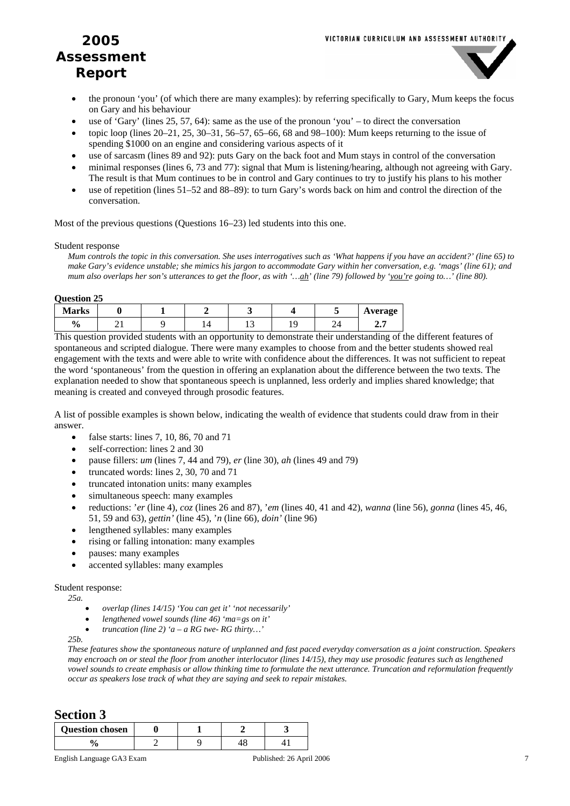

- the pronoun 'you' (of which there are many examples): by referring specifically to Gary, Mum keeps the focus on Gary and his behaviour
- use of 'Gary' (lines 25, 57, 64): same as the use of the pronoun 'you' to direct the conversation
- topic loop (lines 20–21, 25, 30–31, 56–57, 65–66, 68 and 98–100): Mum keeps returning to the issue of spending \$1000 on an engine and considering various aspects of it
- use of sarcasm (lines 89 and 92): puts Gary on the back foot and Mum stays in control of the conversation
- minimal responses (lines 6, 73 and 77): signal that Mum is listening/hearing, although not agreeing with Gary. The result is that Mum continues to be in control and Gary continues to try to justify his plans to his mother
- use of repetition (lines 51–52 and 88–89): to turn Gary's words back on him and control the direction of the conversation.

Most of the previous questions (Questions 16–23) led students into this one.

Student response

*Mum controls the topic in this conversation. She uses interrogatives such as 'What happens if you have an accident?' (line 65) to make Gary's evidence unstable; she mimics his jargon to accommodate Gary within her conversation, e.g. 'mags' (line 61); and mum also overlaps her son's utterances to get the floor, as with '…ah' (line 79) followed by 'you're going to…' (line 80).* 

#### **Question 25**

| <b>Marks</b>  |          |  |     |  | Average |
|---------------|----------|--|-----|--|---------|
| $\frac{0}{0}$ | $\cdots$ |  | . . |  | ، ، ،   |

This question provided students with an opportunity to demonstrate their understanding of the different features of spontaneous and scripted dialogue. There were many examples to choose from and the better students showed real engagement with the texts and were able to write with confidence about the differences. It was not sufficient to repeat the word 'spontaneous' from the question in offering an explanation about the difference between the two texts. The explanation needed to show that spontaneous speech is unplanned, less orderly and implies shared knowledge; that meaning is created and conveyed through prosodic features.

A list of possible examples is shown below, indicating the wealth of evidence that students could draw from in their answer.

- false starts: lines  $7, 10, 86, 70$  and  $71$
- self-correction: lines 2 and 30
- pause fillers: *um* (lines 7, 44 and 79), *er* (line 30), *ah* (lines 49 and 79)
- truncated words: lines 2, 30, 70 and 71
- truncated intonation units: many examples
- simultaneous speech: many examples
- reductions: '*er* (line 4), *coz* (lines 26 and 87), '*em* (lines 40, 41 and 42), *wanna* (line 56), *gonna* (lines 45, 46, 51, 59 and 63), *gettin'* (line 45), '*n* (line 66), *doin'* (line 96)
- lengthened syllables: many examples
- rising or falling intonation: many examples
- pauses: many examples
- accented syllables: many examples

Student response:

*25a.* 

- *overlap (lines 14/15) 'You can get it' 'not necessarily'*
- *lengthened vowel sounds (line 46) 'ma=gs on it'*
- *truncation (line 2) 'a a RG twe-RG thirty...'*

*25b.* 

*These features show the spontaneous nature of unplanned and fast paced everyday conversation as a joint construction. Speakers may encroach on or steal the floor from another interlocutor (lines 14/15), they may use prosodic features such as lengthened vowel sounds to create emphasis or allow thinking time to formulate the next utterance. Truncation and reformulation frequently occur as speakers lose track of what they are saying and seek to repair mistakes.* 

### **Section 3**

| <b>Question chosen</b> |  |  |  |  |
|------------------------|--|--|--|--|
|                        |  |  |  |  |

English Language GA3 Exam Published: 26 April 2006 7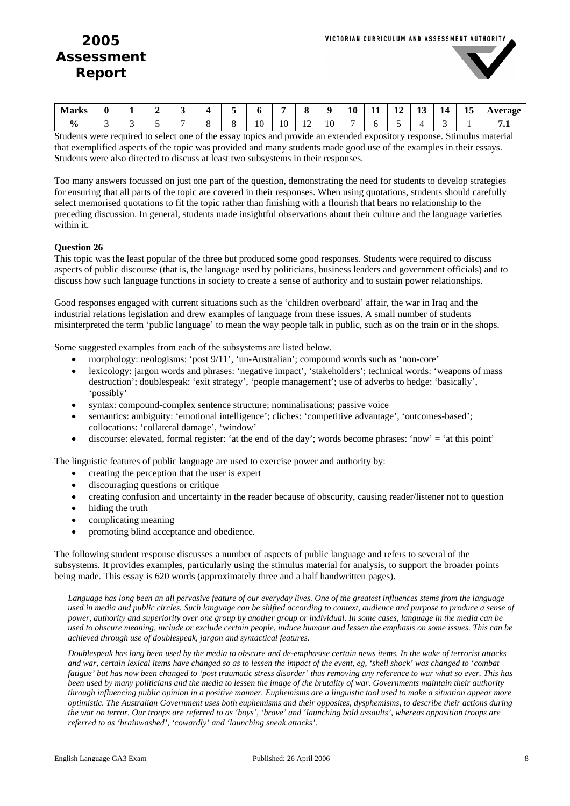

| <b>Marks</b>        | U | - |  |    |               |               |    | 10 | . . | 1 <sub>2</sub><br><b>I</b> | $\sim$<br>∸<br>__ | 14<br>. . | ⊥৺ | verage<br><b><i><u>III</u></i></b> |
|---------------------|---|---|--|----|---------------|---------------|----|----|-----|----------------------------|-------------------|-----------|----|------------------------------------|
| $\mathbf{0}_{\ell}$ |   |   |  | 10 | $\sim$<br>1 V | $\sim$<br>. . | 10 |    |     |                            |                   |           |    | . .                                |

Students were required to select one of the essay topics and provide an extended expository response. Stimulus material that exemplified aspects of the topic was provided and many students made good use of the examples in their essays. Students were also directed to discuss at least two subsystems in their responses.

Too many answers focussed on just one part of the question, demonstrating the need for students to develop strategies for ensuring that all parts of the topic are covered in their responses. When using quotations, students should carefully select memorised quotations to fit the topic rather than finishing with a flourish that bears no relationship to the preceding discussion. In general, students made insightful observations about their culture and the language varieties within it.

#### **Question 26**

This topic was the least popular of the three but produced some good responses. Students were required to discuss aspects of public discourse (that is, the language used by politicians, business leaders and government officials) and to discuss how such language functions in society to create a sense of authority and to sustain power relationships.

Good responses engaged with current situations such as the 'children overboard' affair, the war in Iraq and the industrial relations legislation and drew examples of language from these issues. A small number of students misinterpreted the term 'public language' to mean the way people talk in public, such as on the train or in the shops.

Some suggested examples from each of the subsystems are listed below.

- morphology: neologisms: 'post 9/11', 'un-Australian'; compound words such as 'non-core'
- lexicology: jargon words and phrases: 'negative impact', 'stakeholders'; technical words: 'weapons of mass destruction'; doublespeak: 'exit strategy', 'people management'; use of adverbs to hedge: 'basically', 'possibly'
- syntax: compound-complex sentence structure; nominalisations; passive voice
- semantics: ambiguity: 'emotional intelligence'; cliches: 'competitive advantage', 'outcomes-based'; collocations: 'collateral damage', 'window'
- $\bullet$  discourse: elevated, formal register: 'at the end of the day'; words become phrases: 'now' = 'at this point'

The linguistic features of public language are used to exercise power and authority by:

- creating the perception that the user is expert
- discouraging questions or critique
- creating confusion and uncertainty in the reader because of obscurity, causing reader/listener not to question
- hiding the truth
- complicating meaning
- promoting blind acceptance and obedience.

The following student response discusses a number of aspects of public language and refers to several of the subsystems. It provides examples, particularly using the stimulus material for analysis, to support the broader points being made. This essay is 620 words (approximately three and a half handwritten pages).

*Language has long been an all pervasive feature of our everyday lives. One of the greatest influences stems from the language used in media and public circles. Such language can be shifted according to context, audience and purpose to produce a sense of power, authority and superiority over one group by another group or individual. In some cases, language in the media can be used to obscure meaning, include or exclude certain people, induce humour and lessen the emphasis on some issues. This can be achieved through use of doublespeak, jargon and syntactical features.* 

*Doublespeak has long been used by the media to obscure and de-emphasise certain news items. In the wake of terrorist attacks and war, certain lexical items have changed so as to lessen the impact of the event, eg, 'shell shock' was changed to 'combat fatigue' but has now been changed to 'post traumatic stress disorder' thus removing any reference to war what so ever. This has been used by many politicians and the media to lessen the image of the brutality of war. Governments maintain their authority through influencing public opinion in a positive manner. Euphemisms are a linguistic tool used to make a situation appear more optimistic. The Australian Government uses both euphemisms and their opposites, dysphemisms, to describe their actions during the war on terror. Our troops are referred to as 'boys', 'brave' and 'launching bold assaults', whereas opposition troops are referred to as 'brainwashed', 'cowardly' and 'launching sneak attacks'.*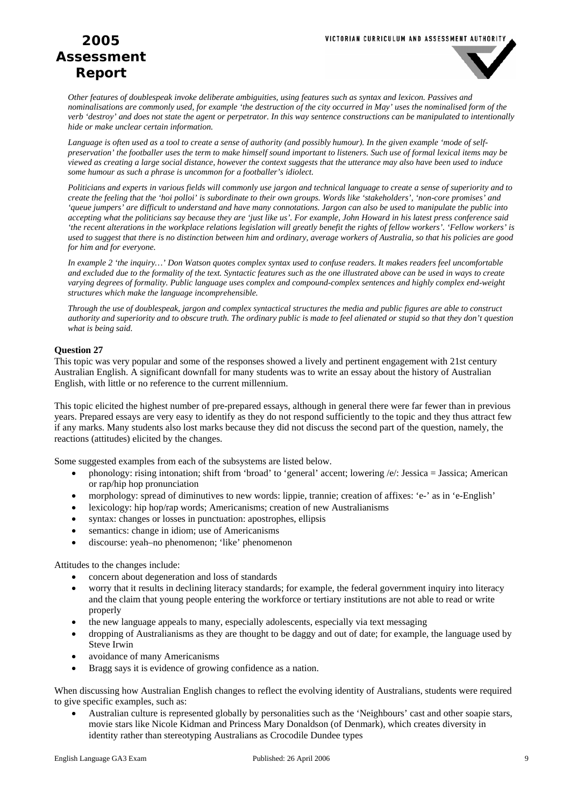

*Other features of doublespeak invoke deliberate ambiguities, using features such as syntax and lexicon. Passives and nominalisations are commonly used, for example 'the destruction of the city occurred in May' uses the nominalised form of the verb 'destroy' and does not state the agent or perpetrator. In this way sentence constructions can be manipulated to intentionally hide or make unclear certain information.* 

*Language is often used as a tool to create a sense of authority (and possibly humour). In the given example 'mode of selfpreservation' the footballer uses the term to make himself sound important to listeners. Such use of formal lexical items may be viewed as creating a large social distance, however the context suggests that the utterance may also have been used to induce some humour as such a phrase is uncommon for a footballer's idiolect.* 

*Politicians and experts in various fields will commonly use jargon and technical language to create a sense of superiority and to create the feeling that the 'hoi polloi' is subordinate to their own groups. Words like 'stakeholders', 'non-core promises' and 'queue jumpers' are difficult to understand and have many connotations. Jargon can also be used to manipulate the public into accepting what the politicians say because they are 'just like us'. For example, John Howard in his latest press conference said 'the recent alterations in the workplace relations legislation will greatly benefit the rights of fellow workers'. 'Fellow workers' is used to suggest that there is no distinction between him and ordinary, average workers of Australia, so that his policies are good for him and for everyone.* 

*In example 2 'the inquiry…' Don Watson quotes complex syntax used to confuse readers. It makes readers feel uncomfortable and excluded due to the formality of the text. Syntactic features such as the one illustrated above can be used in ways to create varying degrees of formality. Public language uses complex and compound-complex sentences and highly complex end-weight structures which make the language incomprehensible.* 

*Through the use of doublespeak, jargon and complex syntactical structures the media and public figures are able to construct authority and superiority and to obscure truth. The ordinary public is made to feel alienated or stupid so that they don't question what is being said.* 

### **Question 27**

This topic was very popular and some of the responses showed a lively and pertinent engagement with 21st century Australian English. A significant downfall for many students was to write an essay about the history of Australian English, with little or no reference to the current millennium.

This topic elicited the highest number of pre-prepared essays, although in general there were far fewer than in previous years. Prepared essays are very easy to identify as they do not respond sufficiently to the topic and they thus attract few if any marks. Many students also lost marks because they did not discuss the second part of the question, namely, the reactions (attitudes) elicited by the changes.

Some suggested examples from each of the subsystems are listed below.

- phonology: rising intonation; shift from 'broad' to 'general' accent; lowering /e/: Jessica = Jassica; American or rap/hip hop pronunciation
- morphology: spread of diminutives to new words: lippie, trannie; creation of affixes: 'e-' as in 'e-English'
- lexicology: hip hop/rap words; Americanisms; creation of new Australianisms
- syntax: changes or losses in punctuation: apostrophes, ellipsis
- semantics: change in idiom; use of Americanisms
- discourse: yeah–no phenomenon; 'like' phenomenon

Attitudes to the changes include:

- concern about degeneration and loss of standards
- worry that it results in declining literacy standards; for example, the federal government inquiry into literacy and the claim that young people entering the workforce or tertiary institutions are not able to read or write properly
- the new language appeals to many, especially adolescents, especially via text messaging
- dropping of Australianisms as they are thought to be daggy and out of date; for example, the language used by Steve Irwin
- avoidance of many Americanisms
- Bragg says it is evidence of growing confidence as a nation.

When discussing how Australian English changes to reflect the evolving identity of Australians, students were required to give specific examples, such as:

• Australian culture is represented globally by personalities such as the 'Neighbours' cast and other soapie stars, movie stars like Nicole Kidman and Princess Mary Donaldson (of Denmark), which creates diversity in identity rather than stereotyping Australians as Crocodile Dundee types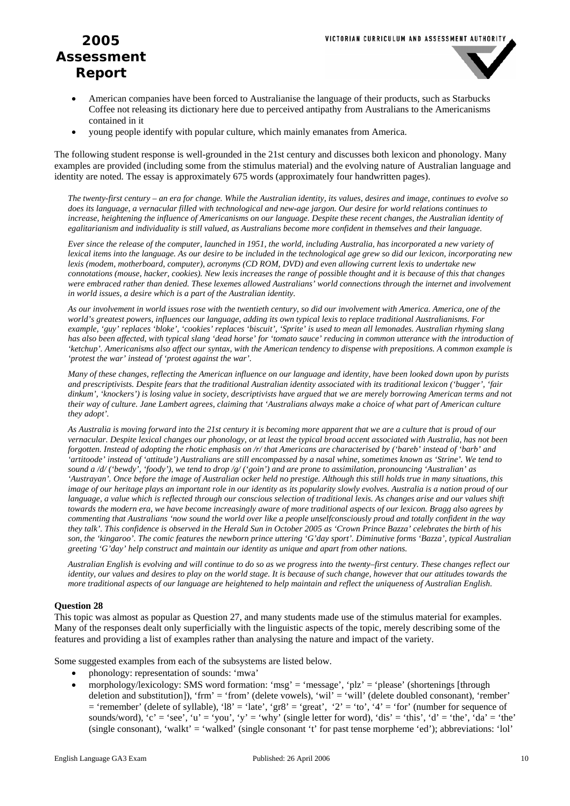

- American companies have been forced to Australianise the language of their products, such as Starbucks Coffee not releasing its dictionary here due to perceived antipathy from Australians to the Americanisms contained in it
- young people identify with popular culture, which mainly emanates from America.

The following student response is well-grounded in the 21st century and discusses both lexicon and phonology. Many examples are provided (including some from the stimulus material) and the evolving nature of Australian language and identity are noted. The essay is approximately 675 words (approximately four handwritten pages).

*The twenty-first century – an era for change. While the Australian identity, its values, desires and image, continues to evolve so does its language, a vernacular filled with technological and new-age jargon. Our desire for world relations continues to increase, heightening the influence of Americanisms on our language. Despite these recent changes, the Australian identity of egalitarianism and individuality is still valued, as Australians become more confident in themselves and their language.* 

*Ever since the release of the computer, launched in 1951, the world, including Australia, has incorporated a new variety of lexical items into the language. As our desire to be included in the technological age grew so did our lexicon, incorporating new lexis (modem, motherboard, computer), acronyms (CD ROM, DVD) and even allowing current lexis to undertake new connotations (mouse, hacker, cookies). New lexis increases the range of possible thought and it is because of this that changes were embraced rather than denied. These lexemes allowed Australians' world connections through the internet and involvement in world issues, a desire which is a part of the Australian identity.* 

*As our involvement in world issues rose with the twentieth century, so did our involvement with America. America, one of the world's greatest powers, influences our language, adding its own typical lexis to replace traditional Australianisms. For example, 'guy' replaces 'bloke', 'cookies' replaces 'biscuit', 'Sprite' is used to mean all lemonades. Australian rhyming slang has also been affected, with typical slang 'dead horse' for 'tomato sauce' reducing in common utterance with the introduction of 'ketchup'. Americanisms also affect our syntax, with the American tendency to dispense with prepositions. A common example is 'protest the war' instead of 'protest against the war'.* 

*Many of these changes, reflecting the American influence on our language and identity, have been looked down upon by purists and prescriptivists. Despite fears that the traditional Australian identity associated with its traditional lexicon ('bugger', 'fair dinkum', 'knockers') is losing value in society, descriptivists have argued that we are merely borrowing American terms and not their way of culture. Jane Lambert agrees, claiming that 'Australians always make a choice of what part of American culture they adopt'.* 

*As Australia is moving forward into the 21st century it is becoming more apparent that we are a culture that is proud of our vernacular. Despite lexical changes our phonology, or at least the typical broad accent associated with Australia, has not been forgotten. Instead of adopting the rhotic emphasis on /r/ that Americans are characterised by ('bareb' instead of 'barb' and 'artitoode' instead of 'attitude') Australians are still encompassed by a nasal whine, sometimes known as 'Strine'. We tend to sound a /d/ ('bewdy', 'foody'), we tend to drop /g/ ('goin') and are prone to assimilation, pronouncing 'Australian' as 'Austrayan'. Once before the image of Australian ocker held no prestige. Although this still holds true in many situations, this image of our heritage plays an important role in our identity as its popularity slowly evolves. Australia is a nation proud of our* language, a value which is reflected through our conscious selection of traditional lexis. As changes arise and our values shift *towards the modern era, we have become increasingly aware of more traditional aspects of our lexicon. Bragg also agrees by commenting that Australians 'now sound the world over like a people unselfconsciously proud and totally confident in the way they talk'. This confidence is observed in the Herald Sun in October 2005 as 'Crown Prince Bazza' celebrates the birth of his son, the 'kingaroo'. The comic features the newborn prince uttering 'G'day sport'. Diminutive forms 'Bazza', typical Australian greeting 'G'day' help construct and maintain our identity as unique and apart from other nations.* 

*Australian English is evolving and will continue to do so as we progress into the twenty–first century. These changes reflect our identity, our values and desires to play on the world stage. It is because of such change, however that our attitudes towards the more traditional aspects of our language are heightened to help maintain and reflect the uniqueness of Australian English.* 

### **Question 28**

This topic was almost as popular as Question 27, and many students made use of the stimulus material for examples. Many of the responses dealt only superficially with the linguistic aspects of the topic, merely describing some of the features and providing a list of examples rather than analysing the nature and impact of the variety.

Some suggested examples from each of the subsystems are listed below.

- phonology: representation of sounds: 'mwa'
- morphology/lexicology: SMS word formation: 'msg' = 'message', 'plz' = 'please' (shortenings [through deletion and substitution]), 'frm' = 'from' (delete vowels), 'wil' = 'will' (delete doubled consonant), 'rember'  $=$  'remember' (delete of syllable), 'l8' = 'late', 'gr8' = 'great', '2' = 'to', '4' = 'for' (number for sequence of sounds/word),  $c' = 'see'$ ,  $'u' = 'you'$ ,  $'y' = 'why'$  (single letter for word), 'dis' = 'this', 'd' = 'the', 'da' = 'the' (single consonant), 'walkt' = 'walked' (single consonant 't' for past tense morpheme 'ed'); abbreviations: 'lol'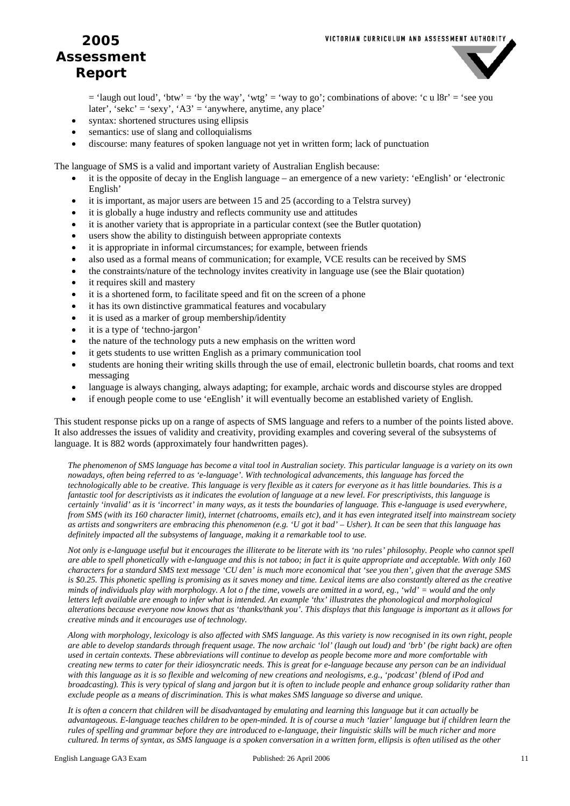

 $=$  'laugh out loud', 'btw'  $=$  'by the way', 'wtg'  $=$  'way to go'; combinations of above: 'c u l8r'  $=$  'see you later', 'sekc' = 'sexy', ' $A3'$  = 'anywhere, anytime, any place'

- syntax: shortened structures using ellipsis
- semantics: use of slang and colloquialisms
- discourse: many features of spoken language not yet in written form; lack of punctuation

The language of SMS is a valid and important variety of Australian English because:

- it is the opposite of decay in the English language an emergence of a new variety: 'eEnglish' or 'electronic English'
- it is important, as major users are between 15 and 25 (according to a Telstra survey)
- it is globally a huge industry and reflects community use and attitudes
- it is another variety that is appropriate in a particular context (see the Butler quotation)
- users show the ability to distinguish between appropriate contexts
- it is appropriate in informal circumstances; for example, between friends
- also used as a formal means of communication; for example, VCE results can be received by SMS
- the constraints/nature of the technology invites creativity in language use (see the Blair quotation)
- it requires skill and mastery
- it is a shortened form, to facilitate speed and fit on the screen of a phone
- it has its own distinctive grammatical features and vocabulary
- it is used as a marker of group membership/identity
- it is a type of 'techno-jargon'
- the nature of the technology puts a new emphasis on the written word
- it gets students to use written English as a primary communication tool
- students are honing their writing skills through the use of email, electronic bulletin boards, chat rooms and text messaging
- language is always changing, always adapting; for example, archaic words and discourse styles are dropped
- if enough people come to use 'eEnglish' it will eventually become an established variety of English.

This student response picks up on a range of aspects of SMS language and refers to a number of the points listed above. It also addresses the issues of validity and creativity, providing examples and covering several of the subsystems of language. It is 882 words (approximately four handwritten pages).

*The phenomenon of SMS language has become a vital tool in Australian society. This particular language is a variety on its own nowadays, often being referred to as 'e-language'. With technological advancements, this language has forced the technologically able to be creative. This language is very flexible as it caters for everyone as it has little boundaries. This is a fantastic tool for descriptivists as it indicates the evolution of language at a new level. For prescriptivists, this language is certainly 'invalid' as it is 'incorrect' in many ways, as it tests the boundaries of language. This e-language is used everywhere, from SMS (with its 160 character limit), internet (chatrooms, emails etc), and it has even integrated itself into mainstream society as artists and songwriters are embracing this phenomenon (e.g. 'U got it bad' – Usher). It can be seen that this language has definitely impacted all the subsystems of language, making it a remarkable tool to use.* 

*Not only is e-language useful but it encourages the illiterate to be literate with its 'no rules' philosophy. People who cannot spell are able to spell phonetically with e-language and this is not taboo; in fact it is quite appropriate and acceptable. With only 160 characters for a standard SMS text message 'CU den' is much more economical that 'see you then', given that the average SMS is \$0.25. This phonetic spelling is promising as it saves money and time. Lexical items are also constantly altered as the creative minds of individuals play with morphology. A lot o f the time, vowels are omitted in a word, eg., 'wld' = would and the only letters left available are enough to infer what is intended. An example 'thx' illustrates the phonological and morphological alterations because everyone now knows that as 'thanks/thank you'. This displays that this language is important as it allows for creative minds and it encourages use of technology.* 

*Along with morphology, lexicology is also affected with SMS language. As this variety is now recognised in its own right, people are able to develop standards through frequent usage. The now archaic 'lol' (laugh out loud) and 'brb' (be right back) are often used in certain contexts. These abbreviations will continue to develop as people become more and more comfortable with creating new terms to cater for their idiosyncratic needs. This is great for e-language because any person can be an individual with this language as it is so flexible and welcoming of new creations and neologisms, e.g., 'podcast' (blend of iPod and broadcasting). This is very typical of slang and jargon but it is often to include people and enhance group solidarity rather than exclude people as a means of discrimination. This is what makes SMS language so diverse and unique.* 

*It is often a concern that children will be disadvantaged by emulating and learning this language but it can actually be advantageous. E-language teaches children to be open-minded. It is of course a much 'lazier' language but if children learn the rules of spelling and grammar before they are introduced to e-language, their linguistic skills will be much richer and more cultured. In terms of syntax, as SMS language is a spoken conversation in a written form, ellipsis is often utilised as the other*